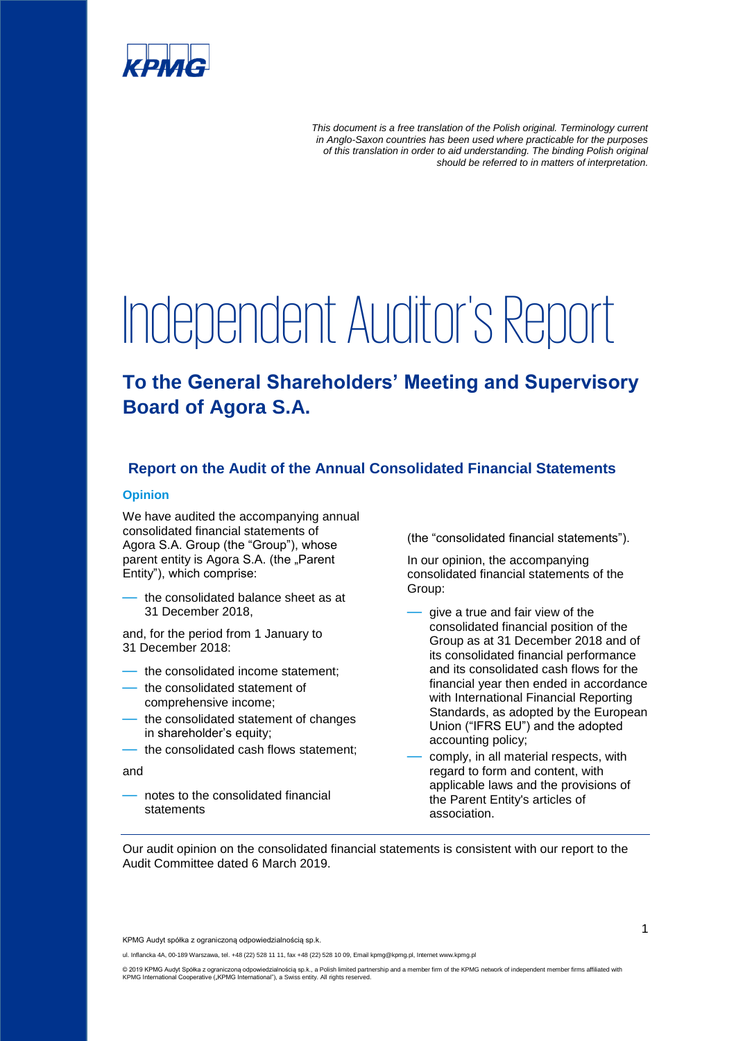

*This document is a free translation of the Polish original. Terminology current in Anglo-Saxon countries has been used where practicable for the purposes of this translation in order to aid understanding. The binding Polish original should be referred to in matters of interpretation.*

# Independent Auditor's Report

## **To the General Shareholders' Meeting and Supervisory Board of Agora S.A.**

### **Report on the Audit of the Annual Consolidated Financial Statements**

#### **Opinion**

We have audited the accompanying annual consolidated financial statements of Agora S.A. Group (the "Group"), whose parent entity is Agora S.A. (the "Parent Entity"), which comprise:

the consolidated balance sheet as at 31 December 2018,

and, for the period from 1 January to 31 December 2018:

- the consolidated income statement;
- the consolidated statement of comprehensive income;
- the consolidated statement of changes in shareholder's equity;
- the consolidated cash flows statement:

and

— notes to the consolidated financial statements

(the "consolidated financial statements").

In our opinion, the accompanying consolidated financial statements of the Group:

give a true and fair view of the consolidated financial position of the Group as at 31 December 2018 and of its consolidated financial performance and its consolidated cash flows for the financial year then ended in accordance with International Financial Reporting Standards, as adopted by the European Union ("IFRS EU") and the adopted accounting policy;

comply, in all material respects, with regard to form and content, with applicable laws and the provisions of the Parent Entity's articles of association.

Our audit opinion on the consolidated financial statements is consistent with our report to the Audit Committee dated 6 March 2019.

KPMG Audyt spółka z ograniczoną odpowiedzialnością sp.k.

© 2019 KPMG Audyt Spółka z ograniczoną odpowiedzialnością sp.k., a Polish limited partnership and a member firm of the KPMG network of independent member firms affiliated with<br>KPMG International Cooperative ("KPMG Internat

ul. Inflancka 4A, 00-189 Warszawa, tel. +48 (22) 528 11 11, fax +48 (22) 528 10 09, Email kpmg@kpmg.pl, Internet www.kpmg.pl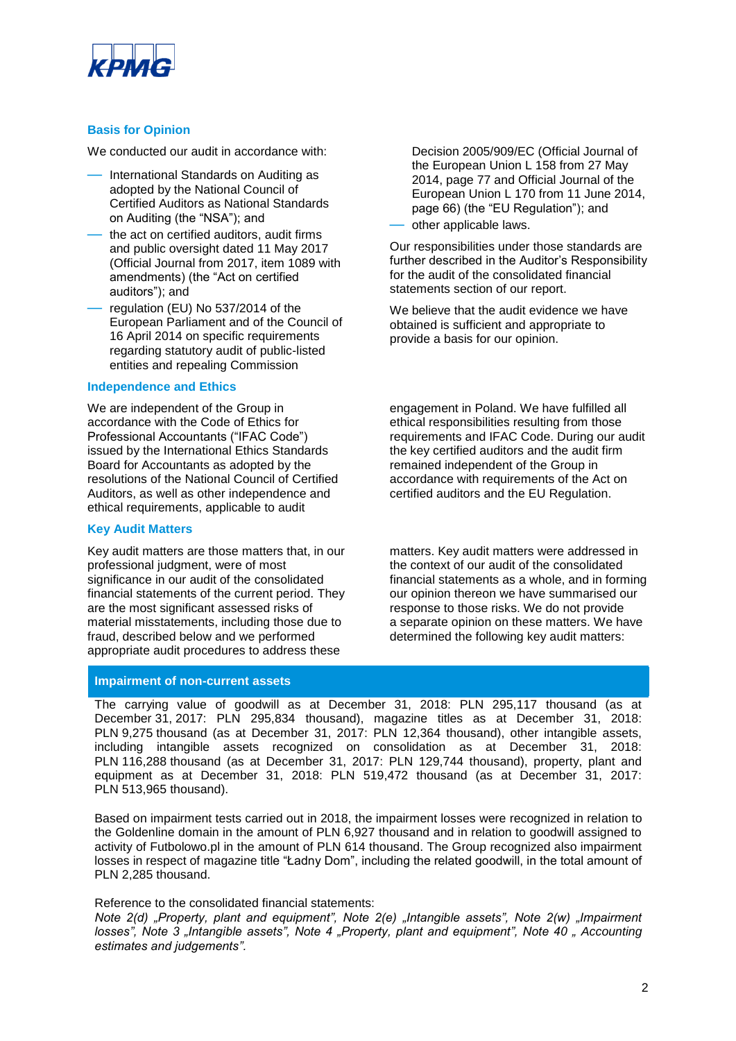

#### **Basis for Opinion**

We conducted our audit in accordance with:

- International Standards on Auditing as adopted by the National Council of Certified Auditors as National Standards on Auditing (the "NSA"); and
- the act on certified auditors, audit firms and public oversight dated 11 May 2017 (Official Journal from 2017, item 1089 with amendments) (the "Act on certified auditors"); and
- regulation (EU) No 537/2014 of the European Parliament and of the Council of 16 April 2014 on specific requirements regarding statutory audit of public-listed entities and repealing Commission

#### **Independence and Ethics**

We are independent of the Group in accordance with the Code of Ethics for Professional Accountants ("IFAC Code") issued by the International Ethics Standards Board for Accountants as adopted by the resolutions of the National Council of Certified Auditors, as well as other independence and ethical requirements, applicable to audit

#### **Key Audit Matters**

Key audit matters are those matters that, in our professional judgment, were of most significance in our audit of the consolidated financial statements of the current period. They are the most significant assessed risks of material misstatements, including those due to fraud, described below and we performed appropriate audit procedures to address these

**Impairment of non-current assets**

Decision 2005/909/EC (Official Journal of the European Union L 158 from 27 May 2014, page 77 and Official Journal of the European Union L 170 from 11 June 2014, page 66) (the "EU Regulation"); and

— other applicable laws.

Our responsibilities under those standards are further described in the Auditor's Responsibility for the audit of the consolidated financial statements section of our report.

We believe that the audit evidence we have obtained is sufficient and appropriate to provide a basis for our opinion.

engagement in Poland. We have fulfilled all ethical responsibilities resulting from those requirements and IFAC Code. During our audit the key certified auditors and the audit firm remained independent of the Group in accordance with requirements of the Act on certified auditors and the EU Regulation.

matters. Key audit matters were addressed in the context of our audit of the consolidated financial statements as a whole, and in forming our opinion thereon we have summarised our response to those risks. We do not provide a separate opinion on these matters. We have determined the following key audit matters:

The carrying value of goodwill as at December 31, 2018: PLN 295,117 thousand (as at December 31, 2017: PLN 295,834 thousand), magazine titles as at December 31, 2018: PLN 9,275 thousand (as at December 31, 2017: PLN 12,364 thousand), other intangible assets, including intangible assets recognized on consolidation as at December 31, 2018: PLN 116,288 thousand (as at December 31, 2017: PLN 129,744 thousand), property, plant and equipment as at December 31, 2018: PLN 519,472 thousand (as at December 31, 2017: PLN 513,965 thousand).

Based on impairment tests carried out in 2018, the impairment losses were recognized in relation to the Goldenline domain in the amount of PLN 6,927 thousand and in relation to goodwill assigned to activity of Futbolowo.pl in the amount of PLN 614 thousand. The Group recognized also impairment losses in respect of magazine title "Ładny Dom", including the related goodwill, in the total amount of PLN 2,285 thousand.

Reference to the consolidated financial statements:

*Note 2(d) "Property, plant and equipment", Note 2(e) "Intangible assets", Note 2(w) "Impairment losses", Note 3 . Intangible assets", Note 4 . Property, plant and equipment", Note 40 . Accounting estimates and judgements".*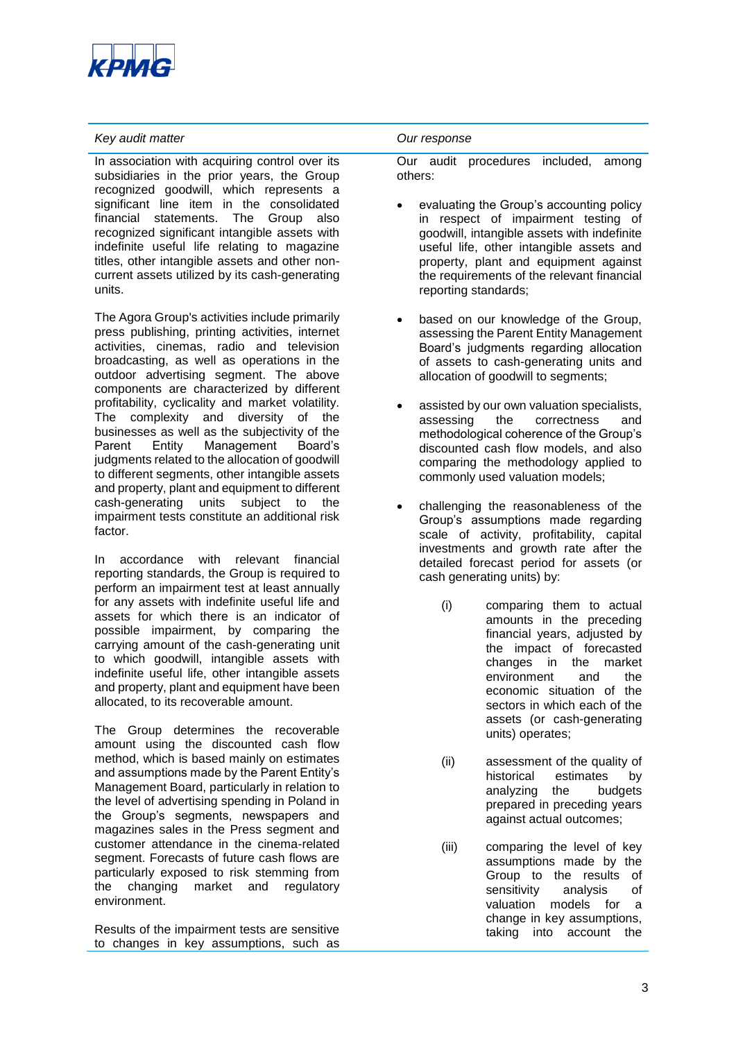

#### *Key audit matter Our response*

In association with acquiring control over its subsidiaries in the prior years, the Group recognized goodwill, which represents a significant line item in the consolidated financial statements. The Group also recognized significant intangible assets with indefinite useful life relating to magazine titles, other intangible assets and other noncurrent assets utilized by its cash-generating units.

The Agora Group's activities include primarily press publishing, printing activities, internet activities, cinemas, radio and television broadcasting, as well as operations in the outdoor advertising segment. The above components are characterized by different profitability, cyclicality and market volatility. The complexity and diversity of the businesses as well as the subjectivity of the Parent Entity Management Board's judgments related to the allocation of goodwill to different segments, other intangible assets and property, plant and equipment to different cash-generating units subject to the impairment tests constitute an additional risk factor.

In accordance with relevant financial reporting standards, the Group is required to perform an impairment test at least annually for any assets with indefinite useful life and assets for which there is an indicator of possible impairment, by comparing the carrying amount of the cash-generating unit to which goodwill, intangible assets with indefinite useful life, other intangible assets and property, plant and equipment have been allocated, to its recoverable amount.

The Group determines the recoverable amount using the discounted cash flow method, which is based mainly on estimates and assumptions made by the Parent Entity's Management Board, particularly in relation to the level of advertising spending in Poland in the Group's segments, newspapers and magazines sales in the Press segment and customer attendance in the cinema-related segment. Forecasts of future cash flows are particularly exposed to risk stemming from the changing market and regulatory environment.

Results of the impairment tests are sensitive to changes in key assumptions, such as

Our audit procedures included, among others:

- evaluating the Group's accounting policy in respect of impairment testing of goodwill, intangible assets with indefinite useful life, other intangible assets and property, plant and equipment against the requirements of the relevant financial reporting standards;
- based on our knowledge of the Group, assessing the Parent Entity Management Board's judgments regarding allocation of assets to cash-generating units and allocation of goodwill to segments;
- assisted by our own valuation specialists, assessing the correctness and methodological coherence of the Group's discounted cash flow models, and also comparing the methodology applied to commonly used valuation models;
- challenging the reasonableness of the Group's assumptions made regarding scale of activity, profitability, capital investments and growth rate after the detailed forecast period for assets (or cash generating units) by:
	- (i) comparing them to actual amounts in the preceding financial years, adjusted by the impact of forecasted changes in the market environment and the economic situation of the sectors in which each of the assets (or cash-generating units) operates;
	- (ii) assessment of the quality of historical estimates by analyzing the budgets prepared in preceding years against actual outcomes;
	- (iii) comparing the level of key assumptions made by the Group to the results of sensitivity analysis of valuation models for a change in key assumptions, taking into account the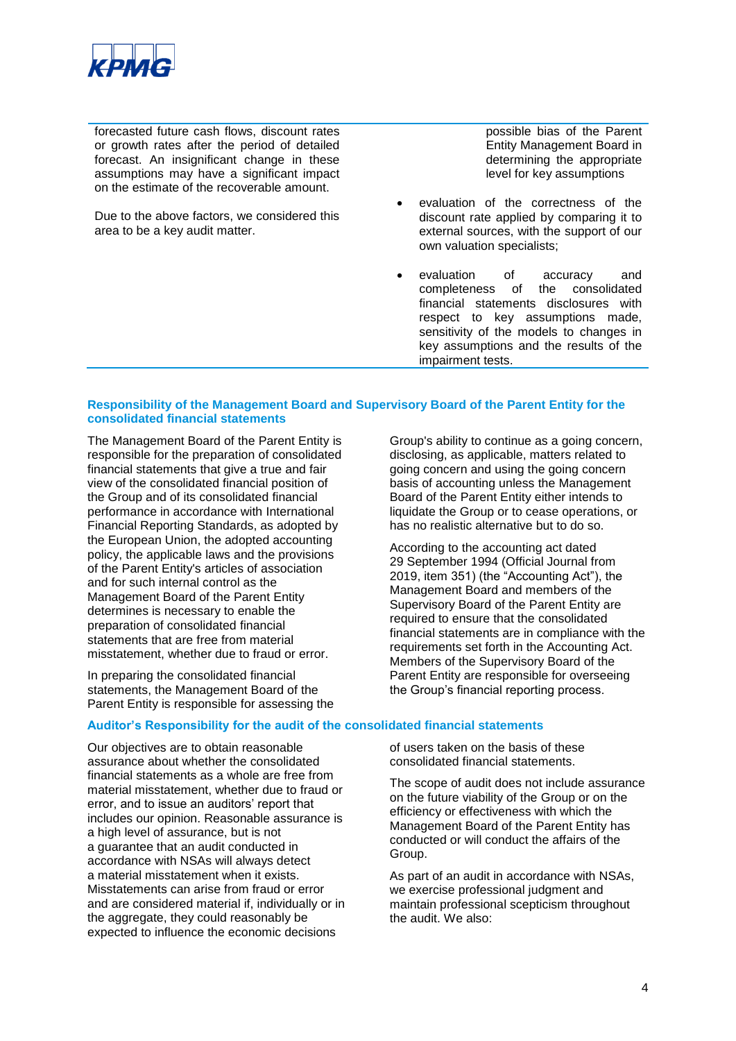

forecasted future cash flows, discount rates or growth rates after the period of detailed forecast. An insignificant change in these assumptions may have a significant impact on the estimate of the recoverable amount.

Due to the above factors, we considered this area to be a key audit matter.

possible bias of the Parent Entity Management Board in determining the appropriate level for key assumptions

- evaluation of the correctness of the discount rate applied by comparing it to external sources, with the support of our own valuation specialists;
- evaluation of accuracy and completeness of the consolidated financial statements disclosures with respect to key assumptions made, sensitivity of the models to changes in key assumptions and the results of the impairment tests.

#### **Responsibility of the Management Board and Supervisory Board of the Parent Entity for the consolidated financial statements**

The Management Board of the Parent Entity is responsible for the preparation of consolidated financial statements that give a true and fair view of the consolidated financial position of the Group and of its consolidated financial performance in accordance with International Financial Reporting Standards, as adopted by the European Union, the adopted accounting policy, the applicable laws and the provisions of the Parent Entity's articles of association and for such internal control as the Management Board of the Parent Entity determines is necessary to enable the preparation of consolidated financial statements that are free from material misstatement, whether due to fraud or error.

In preparing the consolidated financial statements, the Management Board of the Parent Entity is responsible for assessing the

#### **Auditor's Responsibility for the audit of the consolidated financial statements**

Our objectives are to obtain reasonable assurance about whether the consolidated financial statements as a whole are free from material misstatement, whether due to fraud or error, and to issue an auditors' report that includes our opinion. Reasonable assurance is a high level of assurance, but is not a guarantee that an audit conducted in accordance with NSAs will always detect a material misstatement when it exists. Misstatements can arise from fraud or error and are considered material if, individually or in the aggregate, they could reasonably be expected to influence the economic decisions

Group's ability to continue as a going concern, disclosing, as applicable, matters related to going concern and using the going concern basis of accounting unless the Management Board of the Parent Entity either intends to liquidate the Group or to cease operations, or has no realistic alternative but to do so.

According to the accounting act dated 29 September 1994 (Official Journal from 2019, item 351) (the "Accounting Act"), the Management Board and members of the Supervisory Board of the Parent Entity are required to ensure that the consolidated financial statements are in compliance with the requirements set forth in the Accounting Act. Members of the Supervisory Board of the Parent Entity are responsible for overseeing the Group's financial reporting process.

of users taken on the basis of these consolidated financial statements.

The scope of audit does not include assurance on the future viability of the Group or on the efficiency or effectiveness with which the Management Board of the Parent Entity has conducted or will conduct the affairs of the Group.

As part of an audit in accordance with NSAs, we exercise professional judgment and maintain professional scepticism throughout the audit. We also: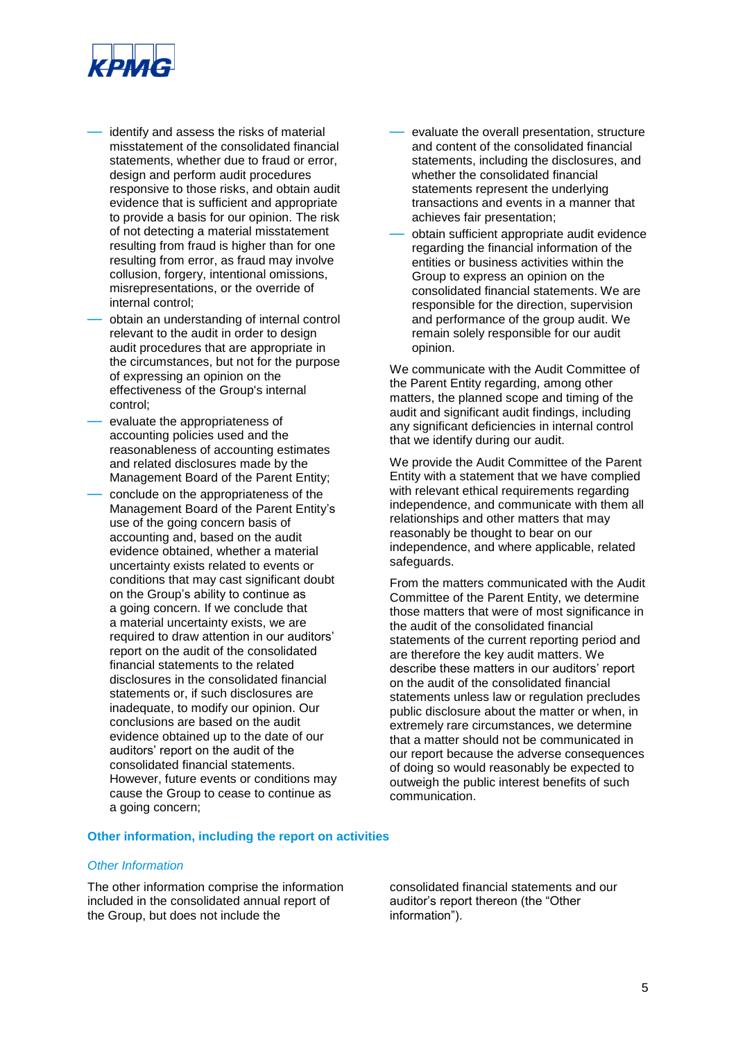

- identify and assess the risks of material misstatement of the consolidated financial statements, whether due to fraud or error, design and perform audit procedures responsive to those risks, and obtain audit evidence that is sufficient and appropriate to provide a basis for our opinion. The risk of not detecting a material misstatement resulting from fraud is higher than for one resulting from error, as fraud may involve collusion, forgery, intentional omissions, misrepresentations, or the override of internal control;
- obtain an understanding of internal control relevant to the audit in order to design audit procedures that are appropriate in the circumstances, but not for the purpose of expressing an opinion on the effectiveness of the Group's internal control;
- evaluate the appropriateness of accounting policies used and the reasonableness of accounting estimates and related disclosures made by the Management Board of the Parent Entity;
- conclude on the appropriateness of the Management Board of the Parent Entity's use of the going concern basis of accounting and, based on the audit evidence obtained, whether a material uncertainty exists related to events or conditions that may cast significant doubt on the Group's ability to continue as a going concern. If we conclude that a material uncertainty exists, we are required to draw attention in our auditors' report on the audit of the consolidated financial statements to the related disclosures in the consolidated financial statements or, if such disclosures are inadequate, to modify our opinion. Our conclusions are based on the audit evidence obtained up to the date of our auditors' report on the audit of the consolidated financial statements. However, future events or conditions may cause the Group to cease to continue as a going concern;
- evaluate the overall presentation, structure and content of the consolidated financial statements, including the disclosures, and whether the consolidated financial statements represent the underlying transactions and events in a manner that achieves fair presentation;
- obtain sufficient appropriate audit evidence regarding the financial information of the entities or business activities within the Group to express an opinion on the consolidated financial statements. We are responsible for the direction, supervision and performance of the group audit. We remain solely responsible for our audit opinion.

We communicate with the Audit Committee of the Parent Entity regarding, among other matters, the planned scope and timing of the audit and significant audit findings, including any significant deficiencies in internal control that we identify during our audit.

We provide the Audit Committee of the Parent Entity with a statement that we have complied with relevant ethical requirements regarding independence, and communicate with them all relationships and other matters that may reasonably be thought to bear on our independence, and where applicable, related safeguards.

From the matters communicated with the Audit Committee of the Parent Entity, we determine those matters that were of most significance in the audit of the consolidated financial statements of the current reporting period and are therefore the key audit matters. We describe these matters in our auditors' report on the audit of the consolidated financial statements unless law or regulation precludes public disclosure about the matter or when, in extremely rare circumstances, we determine that a matter should not be communicated in our report because the adverse consequences of doing so would reasonably be expected to outweigh the public interest benefits of such communication.

#### **Other information, including the report on activities**

#### *Other Information*

The other information comprise the information included in the consolidated annual report of the Group, but does not include the

consolidated financial statements and our auditor's report thereon (the "Other information").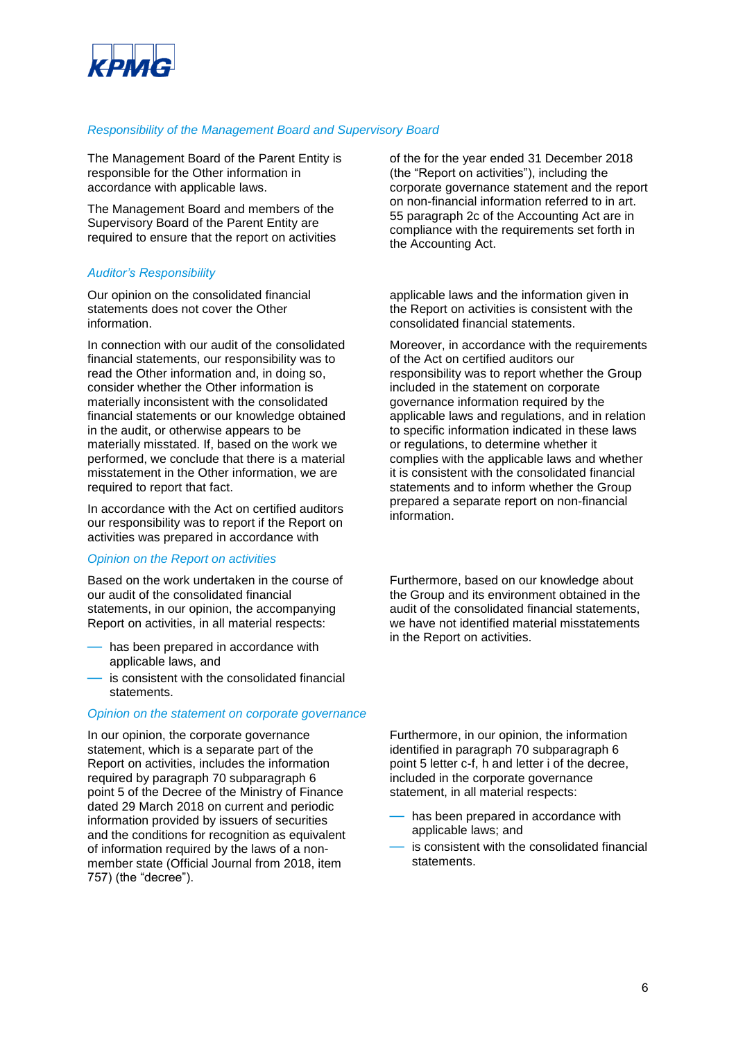

#### *Responsibility of the Management Board and Supervisory Board*

The Management Board of the Parent Entity is responsible for the Other information in accordance with applicable laws.

The Management Board and members of the Supervisory Board of the Parent Entity are required to ensure that the report on activities

#### *Auditor's Responsibility*

Our opinion on the consolidated financial statements does not cover the Other information.

In connection with our audit of the consolidated financial statements, our responsibility was to read the Other information and, in doing so, consider whether the Other information is materially inconsistent with the consolidated financial statements or our knowledge obtained in the audit, or otherwise appears to be materially misstated. If, based on the work we performed, we conclude that there is a material misstatement in the Other information, we are required to report that fact.

In accordance with the Act on certified auditors our responsibility was to report if the Report on activities was prepared in accordance with

#### *Opinion on the Report on activities*

Based on the work undertaken in the course of our audit of the consolidated financial statements, in our opinion, the accompanying Report on activities, in all material respects:

- has been prepared in accordance with applicable laws, and
- is consistent with the consolidated financial statements.

#### *Opinion on the statement on corporate governance*

In our opinion, the corporate governance statement, which is a separate part of the Report on activities, includes the information required by paragraph 70 subparagraph 6 point 5 of the Decree of the Ministry of Finance dated 29 March 2018 on current and periodic information provided by issuers of securities and the conditions for recognition as equivalent of information required by the laws of a nonmember state (Official Journal from 2018, item 757) (the "decree").

of the for the year ended 31 December 2018 (the "Report on activities"), including the corporate governance statement and the report on non-financial information referred to in art. 55 paragraph 2c of the Accounting Act are in compliance with the requirements set forth in the Accounting Act.

applicable laws and the information given in the Report on activities is consistent with the consolidated financial statements.

Moreover, in accordance with the requirements of the Act on certified auditors our responsibility was to report whether the Group included in the statement on corporate governance information required by the applicable laws and regulations, and in relation to specific information indicated in these laws or regulations, to determine whether it complies with the applicable laws and whether it is consistent with the consolidated financial statements and to inform whether the Group prepared a separate report on non-financial information.

Furthermore, based on our knowledge about the Group and its environment obtained in the audit of the consolidated financial statements, we have not identified material misstatements in the Report on activities.

Furthermore, in our opinion, the information identified in paragraph 70 subparagraph 6 point 5 letter c-f, h and letter i of the decree, included in the corporate governance statement, in all material respects:

- has been prepared in accordance with applicable laws; and
- is consistent with the consolidated financial statements.